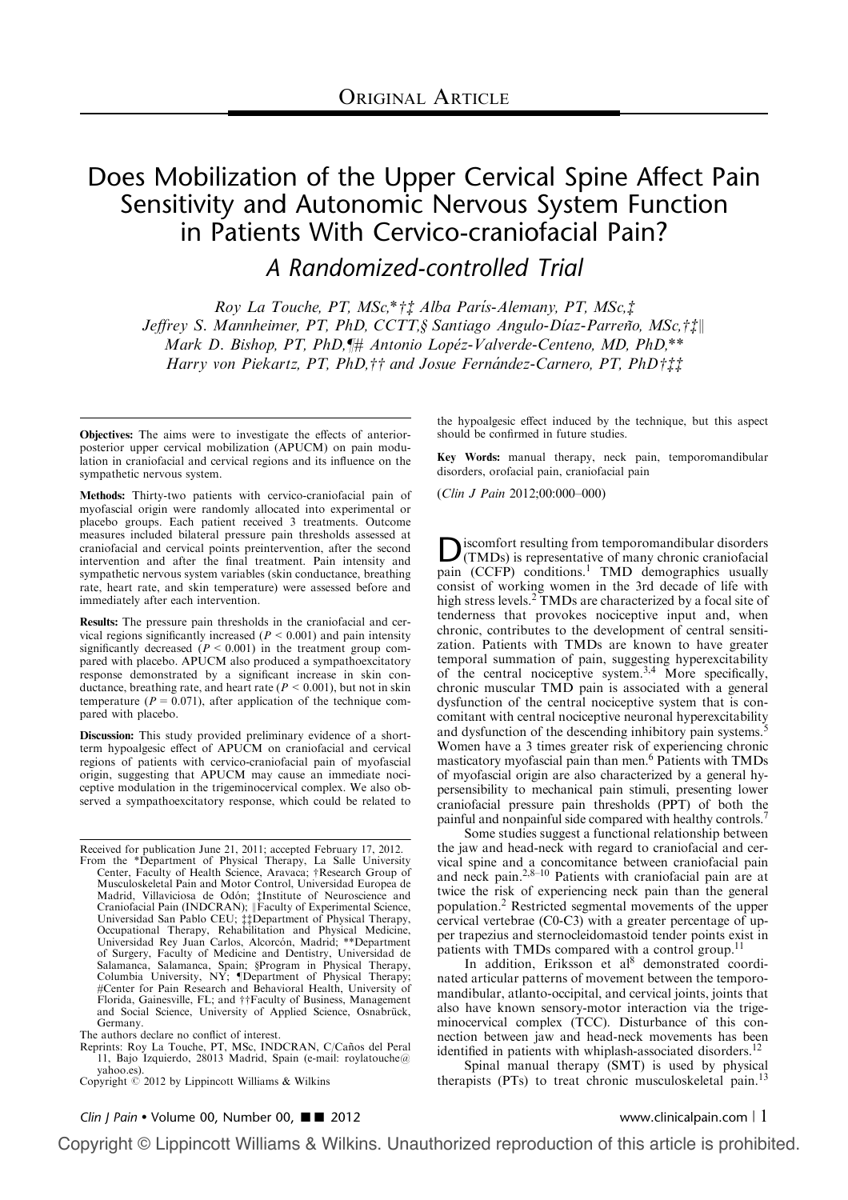# Does Mobilization of the Upper Cervical Spine Affect Pain Sensitivity and Autonomic Nervous System Function in Patients With Cervico-craniofacial Pain?

A Randomized-controlled Trial

Roy La Touche, PT, MSc, $* \ddot{\tau}$  Alba Paris-Alemany, PT, MSc, $\ddot{\tau}$ Jeffrey S. Mannheimer, PT, PhD, CCTT,§ Santiago Angulo-Díaz-Parreño, MSc,†‡|| Mark D. Bishop, PT, PhD, # Antonio Lopéz-Valverde-Centeno, MD, PhD,\*\* Harry von Piekartz, PT, PhD, †† and Josue Fernández-Carnero, PT, PhD†  $\ddagger\ddagger$ 

Objectives: The aims were to investigate the effects of anteriorposterior upper cervical mobilization (APUCM) on pain modulation in craniofacial and cervical regions and its influence on the sympathetic nervous system.

Methods: Thirty-two patients with cervico-craniofacial pain of myofascial origin were randomly allocated into experimental or placebo groups. Each patient received 3 treatments. Outcome measures included bilateral pressure pain thresholds assessed at craniofacial and cervical points preintervention, after the second intervention and after the final treatment. Pain intensity and sympathetic nervous system variables (skin conductance, breathing rate, heart rate, and skin temperature) were assessed before and immediately after each intervention.

Results: The pressure pain thresholds in the craniofacial and cervical regions significantly increased ( $P \le 0.001$ ) and pain intensity significantly decreased  $(P < 0.001)$  in the treatment group compared with placebo. APUCM also produced a sympathoexcitatory response demonstrated by a significant increase in skin conductance, breathing rate, and heart rate ( $P < 0.001$ ), but not in skin temperature ( $P = 0.071$ ), after application of the technique compared with placebo.

Discussion: This study provided preliminary evidence of a shortterm hypoalgesic effect of APUCM on craniofacial and cervical regions of patients with cervico-craniofacial pain of myofascial origin, suggesting that APUCM may cause an immediate nociceptive modulation in the trigeminocervical complex. We also observed a sympathoexcitatory response, which could be related to

Received for publication June 21, 2011; accepted February 17, 2012. From the \*Department of Physical Therapy, La Salle University Center, Faculty of Health Science, Aravaca; †Research Group of<br>Musculoskeletal Pain and Motor Control, Universidad Europea de Madrid, Villaviciosa de Odón; ‡Institute of Neuroscience and<br>Craniofacial Pain (INDCRAN); ||Faculty of Experimental Science, Universidad San Pablo CEU; *i* Department of Physical Therapy, Occupational Therapy, Rehabilitation and Physical Medicine, Universidad Rey Juan Carlos, Alcorcón, Madrid; \*\*Department of Surgery, Faculty of Medicine and Dentistry, Universidad de Salamanca, Salamanca, Spain; §Program in Physical Therapy, Columbia University, NY; ¶Department of Physical Therapy;<br>#Center for Pain Research and Behavioral Health, University of Florida, Gainesville, FL; and ††Faculty of Business, Management<br>and Social Science, University of Applied Science, Osnabrück, Germany.

Reprints: Roy La Touche, PT, MSc, INDCRAN, C/Caños del Peral 11, Bajo Izquierdo, 28013 Madrid, Spain (e-mail: roylatouche@ yahoo.es).

the hypoalgesic effect induced by the technique, but this aspect should be confirmed in future studies.

Key Words: manual therapy, neck pain, temporomandibular disorders, orofacial pain, craniofacial pain

(Clin J Pain 2012;00:000–000)

Discomfort resulting from temporomandibular disorders<br>
(TMDs) is representative of many chronic craniofacial<br>
(CGED) pain  $(CCFP)$  conditions.<sup>1</sup> TMD demographics usually consist of working women in the 3rd decade of life with high stress levels.<sup>2</sup> TMDs are characterized by a focal site of tenderness that provokes nociceptive input and, when chronic, contributes to the development of central sensitization. Patients with TMDs are known to have greater temporal summation of pain, suggesting hyperexcitability of the central nociceptive system.3,4 More specifically, chronic muscular TMD pain is associated with a general dysfunction of the central nociceptive system that is concomitant with central nociceptive neuronal hyperexcitability and dysfunction of the descending inhibitory pain systems.<sup>5</sup> Women have a 3 times greater risk of experiencing chronic masticatory myofascial pain than men.6 Patients with TMDs of myofascial origin are also characterized by a general hypersensibility to mechanical pain stimuli, presenting lower craniofacial pressure pain thresholds (PPT) of both the painful and nonpainful side compared with healthy controls.7

Some studies suggest a functional relationship between the jaw and head-neck with regard to craniofacial and cervical spine and a concomitance between craniofacial pain and neck pain.<sup>2,8–10</sup> Patients with craniofacial pain are at twice the risk of experiencing neck pain than the general population.2 Restricted segmental movements of the upper cervical vertebrae (C0-C3) with a greater percentage of upper trapezius and sternocleidomastoid tender points exist in patients with TMDs compared with a control group.<sup>11</sup>

In addition, Eriksson et al<sup>8</sup> demonstrated coordinated articular patterns of movement between the temporomandibular, atlanto-occipital, and cervical joints, joints that also have known sensory-motor interaction via the trigeminocervical complex (TCC). Disturbance of this connection between jaw and head-neck movements has been identified in patients with whiplash-associated disorders.<sup>12</sup>

Spinal manual therapy (SMT) is used by physical therapists (PTs) to treat chronic musculoskeletal pain.<sup>13</sup>

The authors declare no conflict of interest.

Copyright  $\circledcirc$  2012 by Lippincott Williams & Wilkins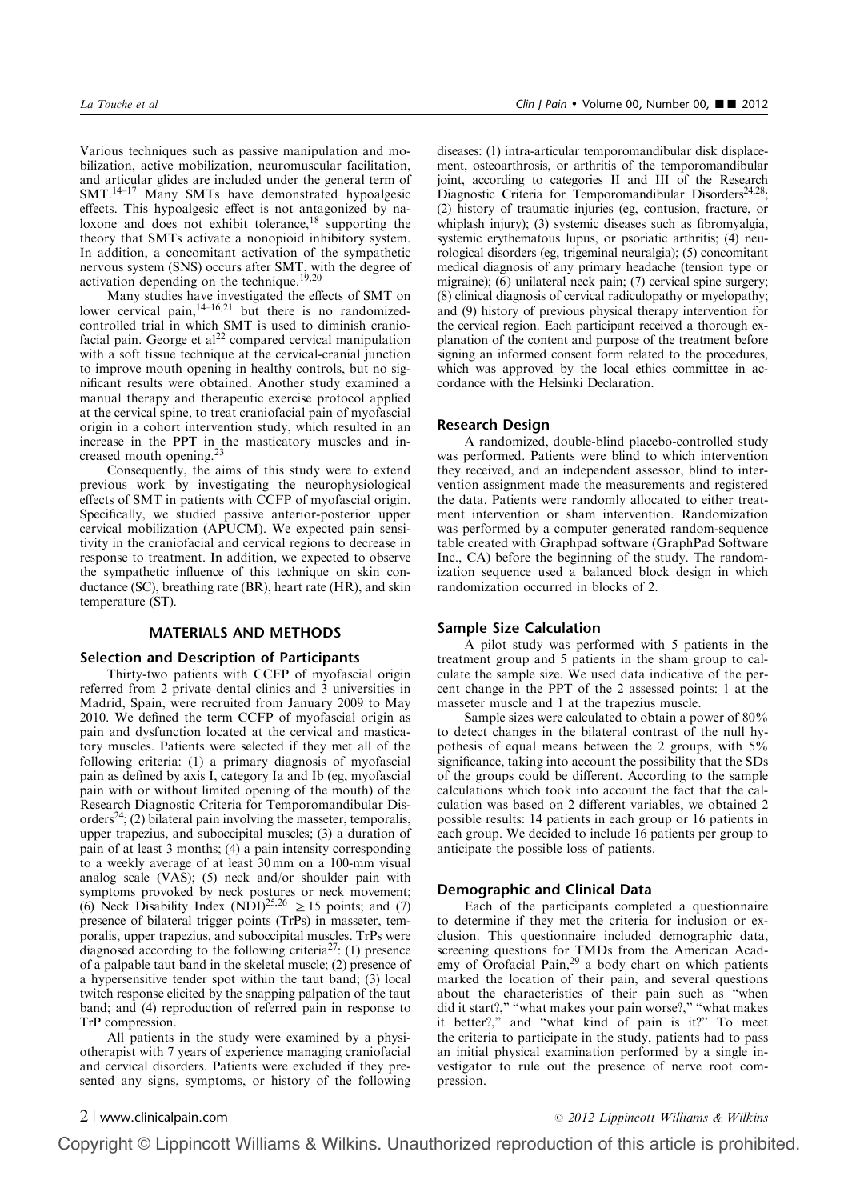Various techniques such as passive manipulation and mobilization, active mobilization, neuromuscular facilitation, and articular glides are included under the general term of SMT.14–17 Many SMTs have demonstrated hypoalgesic effects. This hypoalgesic effect is not antagonized by naloxone and does not exhibit tolerance, $18$  supporting the theory that SMTs activate a nonopioid inhibitory system. In addition, a concomitant activation of the sympathetic nervous system (SNS) occurs after SMT, with the degree of activation depending on the technique.<sup>19,20</sup>

Many studies have investigated the effects of SMT on lower cervical pain, $14-16,21$  but there is no randomizedcontrolled trial in which SMT is used to diminish craniofacial pain. George et  $al^{22}$  compared cervical manipulation with a soft tissue technique at the cervical-cranial junction to improve mouth opening in healthy controls, but no significant results were obtained. Another study examined a manual therapy and therapeutic exercise protocol applied at the cervical spine, to treat craniofacial pain of myofascial origin in a cohort intervention study, which resulted in an increase in the PPT in the masticatory muscles and increased mouth opening.<sup>23</sup>

Consequently, the aims of this study were to extend previous work by investigating the neurophysiological effects of SMT in patients with CCFP of myofascial origin. Specifically, we studied passive anterior-posterior upper cervical mobilization (APUCM). We expected pain sensitivity in the craniofacial and cervical regions to decrease in response to treatment. In addition, we expected to observe the sympathetic influence of this technique on skin conductance (SC), breathing rate (BR), heart rate (HR), and skin temperature (ST).

# MATERIALS AND METHODS

#### Selection and Description of Participants

Thirty-two patients with CCFP of myofascial origin referred from 2 private dental clinics and 3 universities in Madrid, Spain, were recruited from January 2009 to May 2010. We defined the term CCFP of myofascial origin as pain and dysfunction located at the cervical and masticatory muscles. Patients were selected if they met all of the following criteria: (1) a primary diagnosis of myofascial pain as defined by axis I, category Ia and Ib (eg, myofascial pain with or without limited opening of the mouth) of the Research Diagnostic Criteria for Temporomandibular Disorders<sup>24</sup>; (2) bilateral pain involving the masseter, temporalis, upper trapezius, and suboccipital muscles; (3) a duration of pain of at least 3 months; (4) a pain intensity corresponding to a weekly average of at least 30 mm on a 100-mm visual analog scale (VAS); (5) neck and/or shoulder pain with symptoms provoked by neck postures or neck movement; (6) Neck Disability Index (NDI)<sup>25,26</sup>  $\geq$  15 points; and (7) presence of bilateral trigger points (TrPs) in masseter, temporalis, upper trapezius, and suboccipital muscles. TrPs were diagnosed according to the following criteria<sup>27</sup>: (1) presence of a palpable taut band in the skeletal muscle; (2) presence of a hypersensitive tender spot within the taut band; (3) local twitch response elicited by the snapping palpation of the taut band; and (4) reproduction of referred pain in response to TrP compression.

All patients in the study were examined by a physiotherapist with 7 years of experience managing craniofacial and cervical disorders. Patients were excluded if they presented any signs, symptoms, or history of the following diseases: (1) intra-articular temporomandibular disk displacement, osteoarthrosis, or arthritis of the temporomandibular joint, according to categories II and III of the Research Diagnostic Criteria for Temporomandibular Disorders<sup>24,28</sup>; (2) history of traumatic injuries (eg, contusion, fracture, or whiplash injury); (3) systemic diseases such as fibromyalgia, systemic erythematous lupus, or psoriatic arthritis; (4) neurological disorders (eg, trigeminal neuralgia); (5) concomitant medical diagnosis of any primary headache (tension type or migraine); (6) unilateral neck pain; (7) cervical spine surgery; (8) clinical diagnosis of cervical radiculopathy or myelopathy; and (9) history of previous physical therapy intervention for the cervical region. Each participant received a thorough explanation of the content and purpose of the treatment before signing an informed consent form related to the procedures, which was approved by the local ethics committee in accordance with the Helsinki Declaration.

# Research Design

A randomized, double-blind placebo-controlled study was performed. Patients were blind to which intervention they received, and an independent assessor, blind to intervention assignment made the measurements and registered the data. Patients were randomly allocated to either treatment intervention or sham intervention. Randomization was performed by a computer generated random-sequence table created with Graphpad software (GraphPad Software Inc., CA) before the beginning of the study. The randomization sequence used a balanced block design in which randomization occurred in blocks of 2.

# Sample Size Calculation

A pilot study was performed with 5 patients in the treatment group and 5 patients in the sham group to calculate the sample size. We used data indicative of the percent change in the PPT of the 2 assessed points: 1 at the masseter muscle and 1 at the trapezius muscle.

Sample sizes were calculated to obtain a power of 80% to detect changes in the bilateral contrast of the null hypothesis of equal means between the 2 groups, with 5% significance, taking into account the possibility that the SDs of the groups could be different. According to the sample calculations which took into account the fact that the calculation was based on 2 different variables, we obtained 2 possible results: 14 patients in each group or 16 patients in each group. We decided to include 16 patients per group to anticipate the possible loss of patients.

# Demographic and Clinical Data

Each of the participants completed a questionnaire to determine if they met the criteria for inclusion or exclusion. This questionnaire included demographic data, screening questions for TMDs from the American Academy of Orofacial Pain,<sup>29</sup> a body chart on which patients marked the location of their pain, and several questions about the characteristics of their pain such as "when did it start?," "what makes your pain worse?," "what makes it better?," and "what kind of pain is it?" To meet the criteria to participate in the study, patients had to pass an initial physical examination performed by a single investigator to rule out the presence of nerve root compression.

# $2 |$  www.clinicalpain.com  $\degree$  2012 Lippincott Williams & Wilkins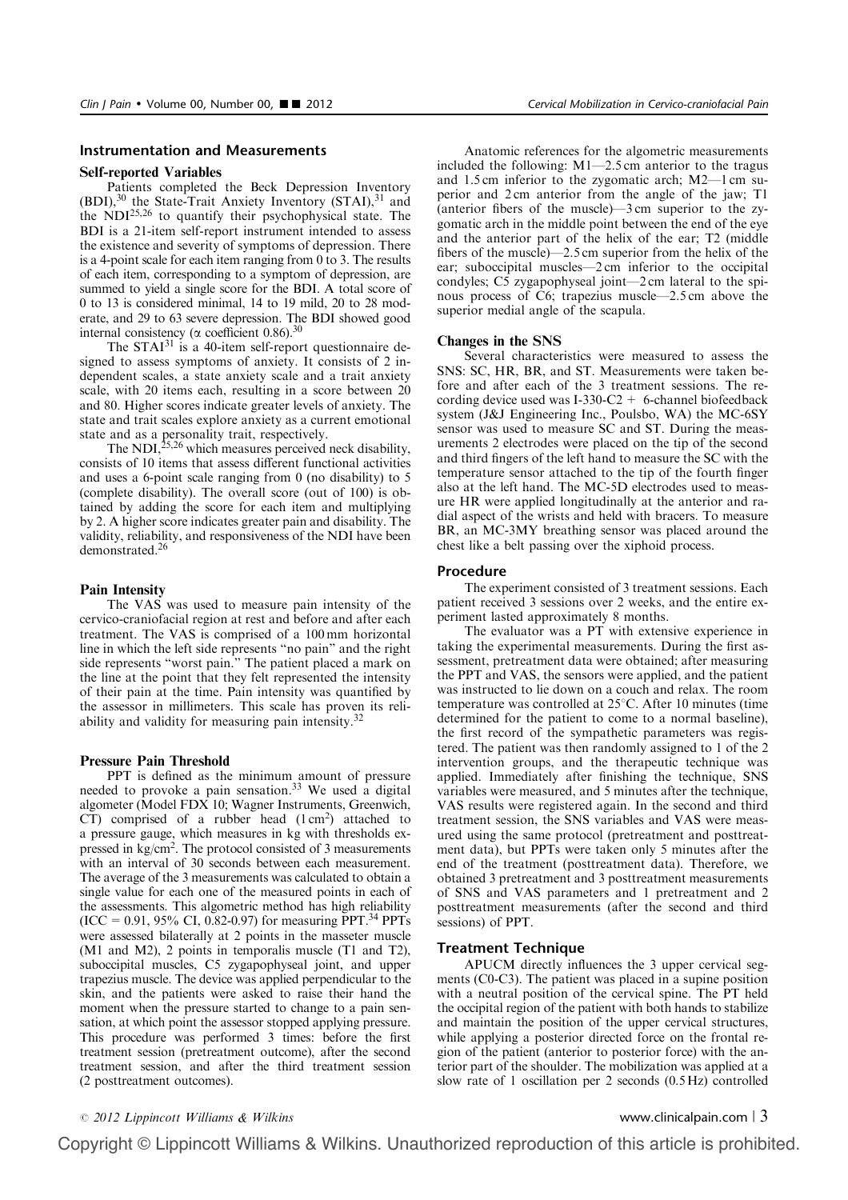#### Self-reported Variables

Patients completed the Beck Depression Inventory (BDI),<sup>30</sup> the State-Trait Anxiety Inventory (STAI),<sup>31</sup> and the NDI25,26 to quantify their psychophysical state. The BDI is a 21-item self-report instrument intended to assess the existence and severity of symptoms of depression. There is a 4-point scale for each item ranging from  $\overline{0}$  to 3. The results of each item, corresponding to a symptom of depression, are summed to yield a single score for the BDI. A total score of 0 to 13 is considered minimal, 14 to 19 mild, 20 to 28 moderate, and 29 to 63 severe depression. The BDI showed good internal consistency ( $\alpha$  coefficient 0.86).<sup>30</sup>

The  $STAT^{31}$  is a 40-item self-report questionnaire designed to assess symptoms of anxiety. It consists of 2 independent scales, a state anxiety scale and a trait anxiety scale, with 20 items each, resulting in a score between 20 and 80. Higher scores indicate greater levels of anxiety. The state and trait scales explore anxiety as a current emotional state and as a personality trait, respectively.

The NDI, $^{25,26}$  which measures perceived neck disability, consists of 10 items that assess different functional activities and uses a 6-point scale ranging from 0 (no disability) to 5 (complete disability). The overall score (out of 100) is obtained by adding the score for each item and multiplying by 2. A higher score indicates greater pain and disability. The validity, reliability, and responsiveness of the NDI have been demonstrated.26

### Pain Intensity

The VAS was used to measure pain intensity of the cervico-craniofacial region at rest and before and after each treatment. The VAS is comprised of a 100 mm horizontal line in which the left side represents "no pain" and the right side represents "worst pain." The patient placed a mark on the line at the point that they felt represented the intensity of their pain at the time. Pain intensity was quantified by the assessor in millimeters. This scale has proven its reliability and validity for measuring pain intensity.<sup>32</sup>

## Pressure Pain Threshold

PPT is defined as the minimum amount of pressure needed to provoke a pain sensation.<sup>33</sup> We used a digital algometer (Model FDX 10; Wagner Instruments, Greenwich,  $CT$ ) comprised of a rubber head  $(1 \text{ cm}^2)$  attached to a pressure gauge, which measures in kg with thresholds expressed in kg/cm<sup>2</sup>. The protocol consisted of 3 measurements with an interval of 30 seconds between each measurement. The average of the 3 measurements was calculated to obtain a single value for each one of the measured points in each of the assessments. This algometric method has high reliability  $(ICC = 0.91, 95\% CI, 0.82-0.97)$  for measuring PPT.<sup>34</sup> PPTs were assessed bilaterally at 2 points in the masseter muscle (M1 and M2), 2 points in temporalis muscle (T1 and T2), suboccipital muscles, C5 zygapophyseal joint, and upper trapezius muscle. The device was applied perpendicular to the skin, and the patients were asked to raise their hand the moment when the pressure started to change to a pain sensation, at which point the assessor stopped applying pressure. This procedure was performed 3 times: before the first treatment session (pretreatment outcome), after the second treatment session, and after the third treatment session (2 posttreatment outcomes).

Anatomic references for the algometric measurements included the following:  $M1-2.5$  cm anterior to the tragus and 1.5 cm inferior to the zygomatic arch; M2—1 cm superior and 2 cm anterior from the angle of the jaw; T1 (anterior fibers of the muscle)—3 cm superior to the zygomatic arch in the middle point between the end of the eye and the anterior part of the helix of the ear; T2 (middle fibers of the muscle)—2.5 cm superior from the helix of the ear; suboccipital muscles—2 cm inferior to the occipital condyles; C5 zygapophyseal joint—2 cm lateral to the spinous process of C6; trapezius muscle—2.5 cm above the superior medial angle of the scapula.

#### Changes in the SNS

Several characteristics were measured to assess the SNS: SC, HR, BR, and ST. Measurements were taken before and after each of the 3 treatment sessions. The recording device used was I-330-C2  $+$  6-channel biofeedback system (J&J Engineering Inc., Poulsbo, WA) the MC-6SY sensor was used to measure SC and ST. During the measurements 2 electrodes were placed on the tip of the second and third fingers of the left hand to measure the SC with the temperature sensor attached to the tip of the fourth finger also at the left hand. The MC-5D electrodes used to measure HR were applied longitudinally at the anterior and radial aspect of the wrists and held with bracers. To measure BR, an MC-3MY breathing sensor was placed around the chest like a belt passing over the xiphoid process.

# Procedure

The experiment consisted of 3 treatment sessions. Each patient received 3 sessions over 2 weeks, and the entire experiment lasted approximately 8 months.

The evaluator was a PT with extensive experience in taking the experimental measurements. During the first assessment, pretreatment data were obtained; after measuring the PPT and VAS, the sensors were applied, and the patient was instructed to lie down on a couch and relax. The room temperature was controlled at  $25^{\circ}$ C. After 10 minutes (time determined for the patient to come to a normal baseline), the first record of the sympathetic parameters was registered. The patient was then randomly assigned to 1 of the 2 intervention groups, and the therapeutic technique was applied. Immediately after finishing the technique, SNS variables were measured, and 5 minutes after the technique, VAS results were registered again. In the second and third treatment session, the SNS variables and VAS were measured using the same protocol (pretreatment and posttreatment data), but PPTs were taken only 5 minutes after the end of the treatment (posttreatment data). Therefore, we obtained 3 pretreatment and 3 posttreatment measurements of SNS and VAS parameters and 1 pretreatment and 2 posttreatment measurements (after the second and third sessions) of PPT.

# Treatment Technique

APUCM directly influences the 3 upper cervical segments (C0-C3). The patient was placed in a supine position with a neutral position of the cervical spine. The PT held the occipital region of the patient with both hands to stabilize and maintain the position of the upper cervical structures, while applying a posterior directed force on the frontal region of the patient (anterior to posterior force) with the anterior part of the shoulder. The mobilization was applied at a slow rate of 1 oscillation per 2 seconds (0.5 Hz) controlled

 $\degree$  2012 Lippincott Williams & Wilkins www.clinicalpain.com | 3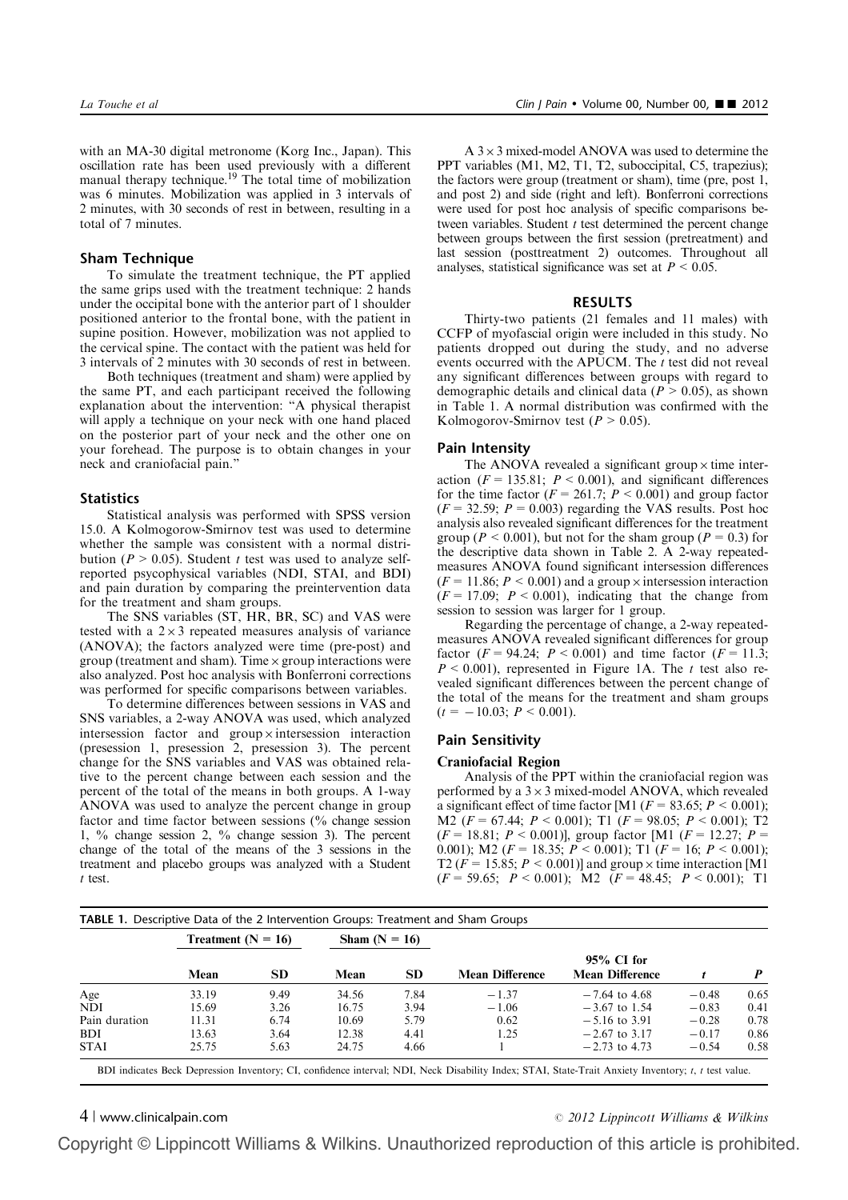with an MA-30 digital metronome (Korg Inc., Japan). This oscillation rate has been used previously with a different manual therapy technique.<sup>19</sup> The total time of mobilization was 6 minutes. Mobilization was applied in 3 intervals of 2 minutes, with 30 seconds of rest in between, resulting in a total of 7 minutes.

# Sham Technique

To simulate the treatment technique, the PT applied the same grips used with the treatment technique: 2 hands under the occipital bone with the anterior part of 1 shoulder positioned anterior to the frontal bone, with the patient in supine position. However, mobilization was not applied to the cervical spine. The contact with the patient was held for 3 intervals of 2 minutes with 30 seconds of rest in between.

Both techniques (treatment and sham) were applied by the same PT, and each participant received the following explanation about the intervention: "A physical therapist will apply a technique on your neck with one hand placed on the posterior part of your neck and the other one on your forehead. The purpose is to obtain changes in your neck and craniofacial pain."

### **Statistics**

Statistical analysis was performed with SPSS version 15.0. A Kolmogorow-Smirnov test was used to determine whether the sample was consistent with a normal distribution ( $P > 0.05$ ). Student t test was used to analyze selfreported psycophysical variables (NDI, STAI, and BDI) and pain duration by comparing the preintervention data for the treatment and sham groups.

The SNS variables (ST, HR, BR, SC) and VAS were tested with a  $2 \times 3$  repeated measures analysis of variance (ANOVA); the factors analyzed were time (pre-post) and group (treatment and sham). Time  $\times$  group interactions were also analyzed. Post hoc analysis with Bonferroni corrections was performed for specific comparisons between variables.

To determine differences between sessions in VAS and SNS variables, a 2-way ANOVA was used, which analyzed intersession factor and  $\text{group} \times \text{intersection}$  interaction (presession 1, presession 2, presession 3). The percent change for the SNS variables and VAS was obtained relative to the percent change between each session and the percent of the total of the means in both groups. A 1-way ANOVA was used to analyze the percent change in group factor and time factor between sessions (% change session 1, % change session 2, % change session 3). The percent change of the total of the means of the 3 sessions in the treatment and placebo groups was analyzed with a Student t test.

 $A$  3  $\times$  3 mixed-model ANOVA was used to determine the PPT variables (M1, M2, T1, T2, suboccipital, C5, trapezius); the factors were group (treatment or sham), time (pre, post 1, and post 2) and side (right and left). Bonferroni corrections were used for post hoc analysis of specific comparisons between variables. Student  $t$  test determined the percent change between groups between the first session (pretreatment) and last session (posttreatment 2) outcomes. Throughout all analyses, statistical significance was set at  $P < 0.05$ .

#### RESULTS

Thirty-two patients (21 females and 11 males) with CCFP of myofascial origin were included in this study. No patients dropped out during the study, and no adverse events occurred with the APUCM. The t test did not reveal any significant differences between groups with regard to demographic details and clinical data ( $P > 0.05$ ), as shown in Table 1. A normal distribution was confirmed with the Kolmogorov-Smirnov test ( $P > 0.05$ ).

#### Pain Intensity

The ANOVA revealed a significant group  $\times$  time interaction ( $F = 135.81$ ;  $P < 0.001$ ), and significant differences for the time factor  $(F = 261.7; P < 0.001)$  and group factor  $(F = 32.59; P = 0.003)$  regarding the VAS results. Post hoc analysis also revealed significant differences for the treatment group ( $P < 0.001$ ), but not for the sham group ( $P = 0.3$ ) for the descriptive data shown in Table 2. A 2-way repeatedmeasures ANOVA found significant intersession differences ( $F = 11.86$ ;  $P < 0.001$ ) and a group  $\times$  intersession interaction  $(F = 17.09; P < 0.001)$ , indicating that the change from session to session was larger for 1 group.

Regarding the percentage of change, a 2-way repeatedmeasures ANOVA revealed significant differences for group factor  $(F = 94.24; P < 0.001)$  and time factor  $(F = 11.3;$  $P \le 0.001$ ), represented in Figure 1A. The t test also revealed significant differences between the percent change of the total of the means for the treatment and sham groups  $(t = -10.03; P \le 0.001)$ .

# Pain Sensitivity

#### Craniofacial Region

Analysis of the PPT within the craniofacial region was performed by a  $3 \times 3$  mixed-model ANOVA, which revealed a significant effect of time factor [M1 ( $F = 83.65$ ;  $P \le 0.001$ );  $\overline{M2}(F= 67.44; P < 0.001);$  T1  $(F= 98.05; P < 0.001);$  T2  $(F = 18.81; P < 0.001)$ ], group factor [M1 ( $F = 12.27; P =$ 0.001); M2 ( $F = 18.35$ ;  $P < 0.001$ ); T1 ( $F = 16$ ;  $P < 0.001$ ); T2 ( $F = 15.85$ ;  $P < 0.001$ )] and group  $\times$  time interaction [M1  $(F = 59.65; P < 0.001); M2 (F = 48.45; P < 0.001); T1$ 

|               | Treatment $(N = 16)$ |           | Sham $(N = 16)$ |      |                        |                                      |         |      |
|---------------|----------------------|-----------|-----------------|------|------------------------|--------------------------------------|---------|------|
|               | Mean                 | <b>SD</b> | Mean            | SD.  | <b>Mean Difference</b> | 95% CI for<br><b>Mean Difference</b> |         |      |
| Age           | 33.19                | 9.49      | 34.56           | 7.84 | $-1.37$                | $-7.64$ to 4.68                      | $-0.48$ | 0.65 |
| <b>NDI</b>    | 15.69                | 3.26      | 16.75           | 3.94 | $-1.06$                | $-3.67$ to 1.54                      | $-0.83$ | 0.41 |
| Pain duration | 11.31                | 6.74      | 10.69           | 5.79 | 0.62                   | $-5.16$ to 3.91                      | $-0.28$ | 0.78 |
| <b>BDI</b>    | 13.63                | 3.64      | 12.38           | 4.41 | 1.25                   | $-2.67$ to 3.17                      | $-0.17$ | 0.86 |
| <b>STAI</b>   | 25.75                | 5.63      | 24.75           | 4.66 |                        | $-2.73$ to 4.73                      | $-0.54$ | 0.58 |

BDI indicates Beck Depression Inventory; CI, confidence interval; NDI, Neck Disability Index; STAI, State-Trait Anxiety Inventory; t, t test value.

 $4 |$  www.clinicalpain.com  $\degree$  2012 Lippincott Williams & Wilkins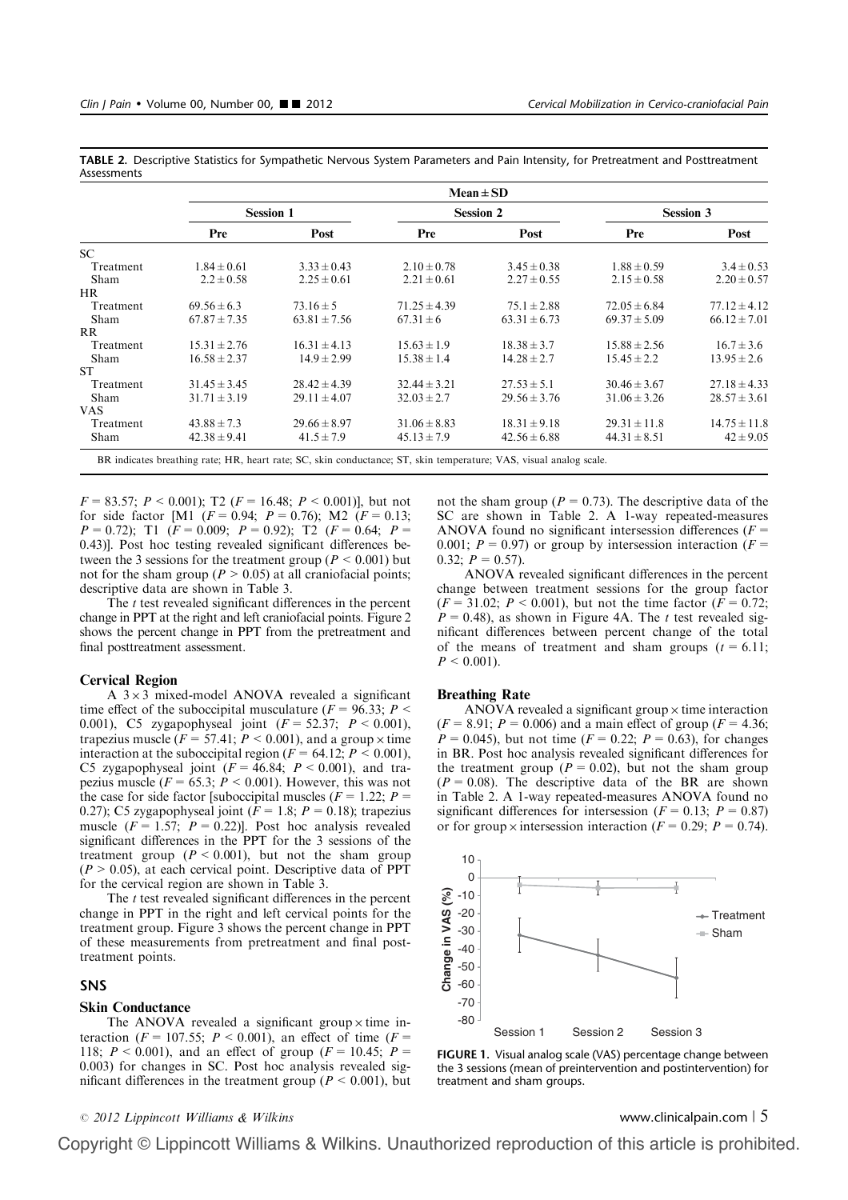|           | $Mean \pm SD$    |                  |                                                                                                                    |                  |                  |                  |  |  |  |  |  |
|-----------|------------------|------------------|--------------------------------------------------------------------------------------------------------------------|------------------|------------------|------------------|--|--|--|--|--|
|           |                  | <b>Session 1</b> |                                                                                                                    | <b>Session 2</b> | <b>Session 3</b> |                  |  |  |  |  |  |
|           | Pre              | Post             | Pre                                                                                                                | Post             | Pre              | Post             |  |  |  |  |  |
| SC.       |                  |                  |                                                                                                                    |                  |                  |                  |  |  |  |  |  |
| Treatment | $1.84 \pm 0.61$  | $3.33 \pm 0.43$  | $2.10 \pm 0.78$                                                                                                    | $3.45 \pm 0.38$  | $1.88 \pm 0.59$  | $3.4 \pm 0.53$   |  |  |  |  |  |
| Sham      | $2.2 \pm 0.58$   | $2.25 \pm 0.61$  | $2.21 \pm 0.61$                                                                                                    | $2.27 \pm 0.55$  | $2.15 \pm 0.58$  | $2.20 \pm 0.57$  |  |  |  |  |  |
| HR.       |                  |                  |                                                                                                                    |                  |                  |                  |  |  |  |  |  |
| Treatment | $69.56 \pm 6.3$  | $73.16 \pm 5$    | $71.25 \pm 4.39$                                                                                                   | $75.1 \pm 2.88$  | $72.05 \pm 6.84$ | $77.12 \pm 4.12$ |  |  |  |  |  |
| Sham      | $67.87 \pm 7.35$ | $63.81 \pm 7.56$ | $67.31 \pm 6$                                                                                                      | $63.31 \pm 6.73$ | $69.37 \pm 5.09$ | $66.12 \pm 7.01$ |  |  |  |  |  |
| RR.       |                  |                  |                                                                                                                    |                  |                  |                  |  |  |  |  |  |
| Treatment | $15.31 \pm 2.76$ | $16.31 \pm 4.13$ | $15.63 \pm 1.9$                                                                                                    | $18.38 \pm 3.7$  | $15.88 \pm 2.56$ | $16.7 \pm 3.6$   |  |  |  |  |  |
| Sham      | $16.58 \pm 2.37$ | $14.9 \pm 2.99$  | $15.38 \pm 1.4$                                                                                                    | $14.28 \pm 2.7$  | $15.45 \pm 2.2$  | $13.95 \pm 2.6$  |  |  |  |  |  |
| <b>ST</b> |                  |                  |                                                                                                                    |                  |                  |                  |  |  |  |  |  |
| Treatment | $31.45 \pm 3.45$ | $28.42 \pm 4.39$ | $32.44 \pm 3.21$                                                                                                   | $27.53 \pm 5.1$  | $30.46 \pm 3.67$ | $27.18 \pm 4.33$ |  |  |  |  |  |
| Sham      | $31.71 \pm 3.19$ | $29.11 \pm 4.07$ | $32.03 \pm 2.7$                                                                                                    | $29.56 \pm 3.76$ | $31.06 \pm 3.26$ | $28.57 \pm 3.61$ |  |  |  |  |  |
| VAS.      |                  |                  |                                                                                                                    |                  |                  |                  |  |  |  |  |  |
| Treatment | $43.88 \pm 7.3$  | $29.66 \pm 8.97$ | $31.06 \pm 8.83$                                                                                                   | $18.31 \pm 9.18$ | $29.31 \pm 11.8$ | $14.75 \pm 11.8$ |  |  |  |  |  |
| Sham      | $42.38 \pm 9.41$ | $41.5 \pm 7.9$   | $45.13 \pm 7.9$                                                                                                    | $42.56 \pm 6.88$ | $44.31 \pm 8.51$ | $42 \pm 9.05$    |  |  |  |  |  |
|           |                  |                  | BR indicates breathing rate; HR, heart rate; SC, skin conductance; ST, skin temperature; VAS, visual analog scale. |                  |                  |                  |  |  |  |  |  |

TABLE 2. Descriptive Statistics for Sympathetic Nervous System Parameters and Pain Intensity, for Pretreatment and Posttreatment Assessments

 $F = 83.57$ ;  $P \le 0.001$ ); T2 ( $F = 16.48$ ;  $P \le 0.001$ )], but not for side factor [M1 ( $F = 0.94$ ;  $P = 0.76$ ); M2 ( $F = 0.13$ ;  $P = 0.72$ ); T1 ( $F = 0.009$ ;  $P = 0.92$ ); T2 ( $F = 0.64$ ;  $P =$ 0.43)]. Post hoc testing revealed significant differences between the 3 sessions for the treatment group ( $P \le 0.001$ ) but

descriptive data are shown in Table 3. The  $t$  test revealed significant differences in the percent change in PPT at the right and left craniofacial points. Figure 2 shows the percent change in PPT from the pretreatment and final posttreatment assessment.

not for the sham group ( $P > 0.05$ ) at all craniofacial points;

# Cervical Region

A  $3 \times 3$  mixed-model ANOVA revealed a significant time effect of the suboccipital musculature ( $F = 96.33$ ;  $P <$ 0.001), C5 zygapophyseal joint  $(F = 52.37; P < 0.001)$ , trapezius muscle ( $F = 57.41$ ;  $P < 0.001$ ), and a group  $\times$  time interaction at the suboccipital region ( $F = 64.12$ ;  $P < 0.001$ ), C5 zygapophyseal joint  $(F = 46.84; P < 0.001)$ , and trapezius muscle ( $F = 65.3$ ;  $\dot{P} < 0.001$ ). However, this was not the case for side factor [suboccipital muscles ( $F = 1.22$ ;  $P =$ 0.27); C5 zygapophyseal joint ( $F = 1.8$ ;  $P = 0.18$ ); trapezius muscle ( $F = 1.57$ ;  $P = 0.22$ )]. Post hoc analysis revealed significant differences in the PPT for the 3 sessions of the treatment group  $(P < 0.001)$ , but not the sham group  $(P > 0.05)$ , at each cervical point. Descriptive data of PPT for the cervical region are shown in Table 3.

The  $t$  test revealed significant differences in the percent change in PPT in the right and left cervical points for the treatment group. Figure 3 shows the percent change in PPT of these measurements from pretreatment and final posttreatment points.

# SNS

# Skin Conductance

The ANOVA revealed a significant group  $\times$  time interaction ( $F = 107.55$ ;  $P \le 0.001$ ), an effect of time ( $F =$ 118;  $P < 0.001$ ), and an effect of group ( $F = 10.45$ ;  $P =$ 0.003) for changes in SC. Post hoc analysis revealed significant differences in the treatment group ( $P < 0.001$ ), but

# not the sham group ( $P = 0.73$ ). The descriptive data of the SC are shown in Table 2. A 1-way repeated-measures ANOVA found no significant intersession differences ( $F =$ 0.001;  $P = 0.97$ ) or group by intersession interaction ( $F =$  $0.32; P = 0.57$ ).

ANOVA revealed significant differences in the percent change between treatment sessions for the group factor  $(F = 31.02; P < 0.001)$ , but not the time factor  $(F = 0.72;$  $P = 0.48$ ), as shown in Figure 4A. The t test revealed significant differences between percent change of the total of the means of treatment and sham groups  $(t = 6.11)$ ;  $P < 0.001$ ).

## Breathing Rate

ANOVA revealed a significant group  $\times$  time interaction  $(F = 8.91; P = 0.006)$  and a main effect of group  $(F = 4.36;$  $P = 0.045$ , but not time ( $F = 0.22$ ;  $P = 0.63$ ), for changes in BR. Post hoc analysis revealed significant differences for the treatment group ( $P = 0.02$ ), but not the sham group  $(P = 0.08)$ . The descriptive data of the BR are shown in Table 2. A 1-way repeated-measures ANOVA found no significant differences for intersession ( $F = 0.13$ ;  $P = 0.87$ ) or for group x intersession interaction ( $F = 0.29$ ;  $P = 0.74$ ).



FIGURE 1. Visual analog scale (VAS) percentage change between the 3 sessions (mean of preintervention and postintervention) for treatment and sham groups.

# <sup>r</sup> 2012 Lippincott Williams & Wilkins www.clinicalpain.com <sup>|</sup> 5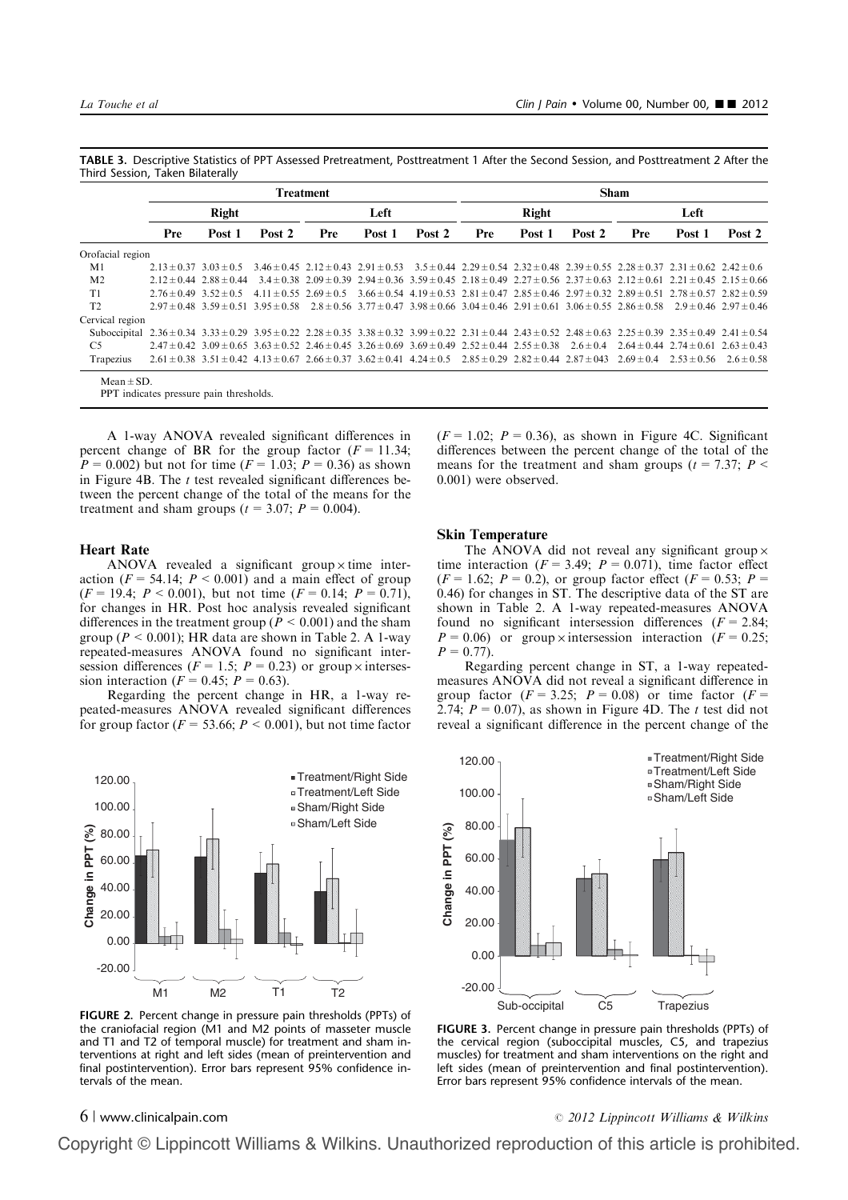|                                  | TABLE 3. Descriptive Statistics of PPT Assessed Pretreatment, Posttreatment 1 After the Second Session, and Posttreatment 2 After the |  |  |
|----------------------------------|---------------------------------------------------------------------------------------------------------------------------------------|--|--|
| Third Session, Taken Bilaterally |                                                                                                                                       |  |  |

|                                                                                                                                                                                                              | <b>Treatment</b>               |                                 |        |                                                                                                                                                                                               |        |        | <b>Sham</b> |        |        |      |                 |                |
|--------------------------------------------------------------------------------------------------------------------------------------------------------------------------------------------------------------|--------------------------------|---------------------------------|--------|-----------------------------------------------------------------------------------------------------------------------------------------------------------------------------------------------|--------|--------|-------------|--------|--------|------|-----------------|----------------|
|                                                                                                                                                                                                              | <b>Right</b>                   |                                 |        | Left                                                                                                                                                                                          |        |        | Right       |        |        | Left |                 |                |
|                                                                                                                                                                                                              | Pre                            | Post 1                          | Post 2 | Pre                                                                                                                                                                                           | Post 1 | Post 2 | Pre         | Post 1 | Post 2 | Pre  | Post 1          | Post 2         |
| Orofacial region                                                                                                                                                                                             |                                |                                 |        |                                                                                                                                                                                               |        |        |             |        |        |      |                 |                |
| M1                                                                                                                                                                                                           | $2.13 \pm 0.37$ $3.03 \pm 0.5$ |                                 |        | $3.46 \pm 0.45$ $2.12 \pm 0.43$ $2.91 \pm 0.53$ $3.5 \pm 0.44$ $2.29 \pm 0.54$ $2.32 \pm 0.48$ $2.39 \pm 0.55$ $2.28 \pm 0.37$ $2.31 \pm 0.62$ $2.42 \pm 0.6$                                 |        |        |             |        |        |      |                 |                |
| M <sub>2</sub>                                                                                                                                                                                               |                                | $2.12 \pm 0.44$ $2.88 \pm 0.44$ |        | $3.4 \pm 0.38$ $2.09 \pm 0.39$ $2.94 \pm 0.36$ $3.59 \pm 0.45$ $2.18 \pm 0.49$ $2.27 \pm 0.56$ $2.37 \pm 0.63$ $2.12 \pm 0.61$ $2.21 \pm 0.45$ $2.15 \pm 0.66$                                |        |        |             |        |        |      |                 |                |
| T1                                                                                                                                                                                                           | $2.76 \pm 0.49$ $3.52 \pm 0.5$ |                                 |        | $4.11 \pm 0.55$ $2.69 \pm 0.5$ $3.66 \pm 0.54$ $4.19 \pm 0.53$ $2.81 \pm 0.47$ $2.85 \pm 0.46$ $2.97 \pm 0.32$ $2.89 \pm 0.51$ $2.78 \pm 0.57$ $2.82 \pm 0.59$                                |        |        |             |        |        |      |                 |                |
| T <sub>2</sub>                                                                                                                                                                                               |                                |                                 |        | $2.97 \pm 0.48$ $3.59 \pm 0.51$ $3.95 \pm 0.58$ $2.8 \pm 0.56$ $3.77 \pm 0.47$ $3.98 \pm 0.66$ $3.04 \pm 0.46$ $2.91 \pm 0.61$ $3.06 \pm 0.55$ $2.86 \pm 0.58$ $2.9 \pm 0.46$ $2.97 \pm 0.46$ |        |        |             |        |        |      |                 |                |
| Cervical region                                                                                                                                                                                              |                                |                                 |        |                                                                                                                                                                                               |        |        |             |        |        |      |                 |                |
| Suboccipital $2.36 \pm 0.34$ $3.33 \pm 0.29$ $3.95 \pm 0.22$ $2.28 \pm 0.35$ $3.38 \pm 0.32$ $3.99 \pm 0.22$ $2.31 \pm 0.44$ $2.43 \pm 0.52$ $2.48 \pm 0.63$ $2.25 \pm 0.39$ $2.35 \pm 0.49$ $2.41 \pm 0.54$ |                                |                                 |        |                                                                                                                                                                                               |        |        |             |        |        |      |                 |                |
| C <sub>5</sub>                                                                                                                                                                                               |                                |                                 |        | $2.47 \pm 0.42$ $3.09 \pm 0.65$ $3.63 \pm 0.52$ $2.46 \pm 0.45$ $3.26 \pm 0.69$ $3.69 \pm 0.49$ $2.52 \pm 0.44$ $2.55 \pm 0.38$ $2.6 \pm 0.4$ $2.64 \pm 0.44$ $2.74 \pm 0.61$ $2.63 \pm 0.43$ |        |        |             |        |        |      |                 |                |
| Trapezius                                                                                                                                                                                                    |                                |                                 |        | $2.61 \pm 0.38$ $3.51 \pm 0.42$ $4.13 \pm 0.67$ $2.66 \pm 0.37$ $3.62 \pm 0.41$ $4.24 \pm 0.5$ $2.85 \pm 0.29$ $2.82 \pm 0.44$ $2.87 \pm 0.43$ $2.69 \pm 0.4$                                 |        |        |             |        |        |      | $2.53 \pm 0.56$ | $2.6 \pm 0.58$ |
| $Mean \pm SD$ .                                                                                                                                                                                              |                                |                                 |        |                                                                                                                                                                                               |        |        |             |        |        |      |                 |                |

PPT indicates pressure pain thresholds.

A 1-way ANOVA revealed significant differences in percent change of BR for the group factor  $(F = 11.34;$  $P = 0.002$ ) but not for time  $(F = 1.03; P = 0.36)$  as shown in Figure 4B. The  $t$  test revealed significant differences between the percent change of the total of the means for the treatment and sham groups ( $t = 3.07$ ;  $P = 0.004$ ).

### Heart Rate

ANOVA revealed a significant group  $\times$  time interaction ( $F = 54.14$ ;  $P < 0.001$ ) and a main effect of group  $(F = 19.4; P < 0.001)$ , but not time  $(F = 0.14; P = 0.71)$ , for changes in HR. Post hoc analysis revealed significant differences in the treatment group ( $P < 0.001$ ) and the sham group ( $P \le 0.001$ ); HR data are shown in Table 2. A 1-way repeated-measures ANOVA found no significant intersession differences ( $F = 1.5$ ;  $P = 0.23$ ) or group x intersession interaction ( $F = 0.45$ ;  $P = 0.63$ ).

Regarding the percent change in HR, a 1-way repeated-measures ANOVA revealed significant differences for group factor ( $F = 53.66$ ;  $P < 0.001$ ), but not time factor



FIGURE 2. Percent change in pressure pain thresholds (PPTs) of the craniofacial region (M1 and M2 points of masseter muscle and T1 and T2 of temporal muscle) for treatment and sham interventions at right and left sides (mean of preintervention and final postintervention). Error bars represent 95% confidence intervals of the mean.

 $(F = 1.02; P = 0.36)$ , as shown in Figure 4C. Significant differences between the percent change of the total of the means for the treatment and sham groups ( $t = 7.37$ ;  $P \le$ 0.001) were observed.

# Skin Temperature

The ANOVA did not reveal any significant group  $\times$ time interaction ( $F = 3.49$ ;  $P = 0.071$ ), time factor effect  $(F = 1.62; P = 0.2)$ , or group factor effect  $(F = 0.53; P = 0.53)$ 0.46) for changes in ST. The descriptive data of the ST are shown in Table 2. A 1-way repeated-measures ANOVA found no significant intersession differences  $(F = 2.84;$  $P = 0.06$ ) or group x intersession interaction ( $F = 0.25$ ;  $P = 0.77$ ).

Regarding percent change in ST, a 1-way repeatedmeasures ANOVA did not reveal a significant difference in group factor  $(F = 3.25; P = 0.08)$  or time factor  $(F = 1.25; P = 0.08)$ 2.74;  $P = 0.07$ ), as shown in Figure 4D. The t test did not reveal a significant difference in the percent change of the



FIGURE 3. Percent change in pressure pain thresholds (PPTs) of the cervical region (suboccipital muscles, C5, and trapezius muscles) for treatment and sham interventions on the right and left sides (mean of preintervention and final postintervention). Error bars represent 95% confidence intervals of the mean.

6 | www.clinicalpain.com **6 | www.clinicalpain.com**  $\degree$  2012 Lippincott Williams & Wilkins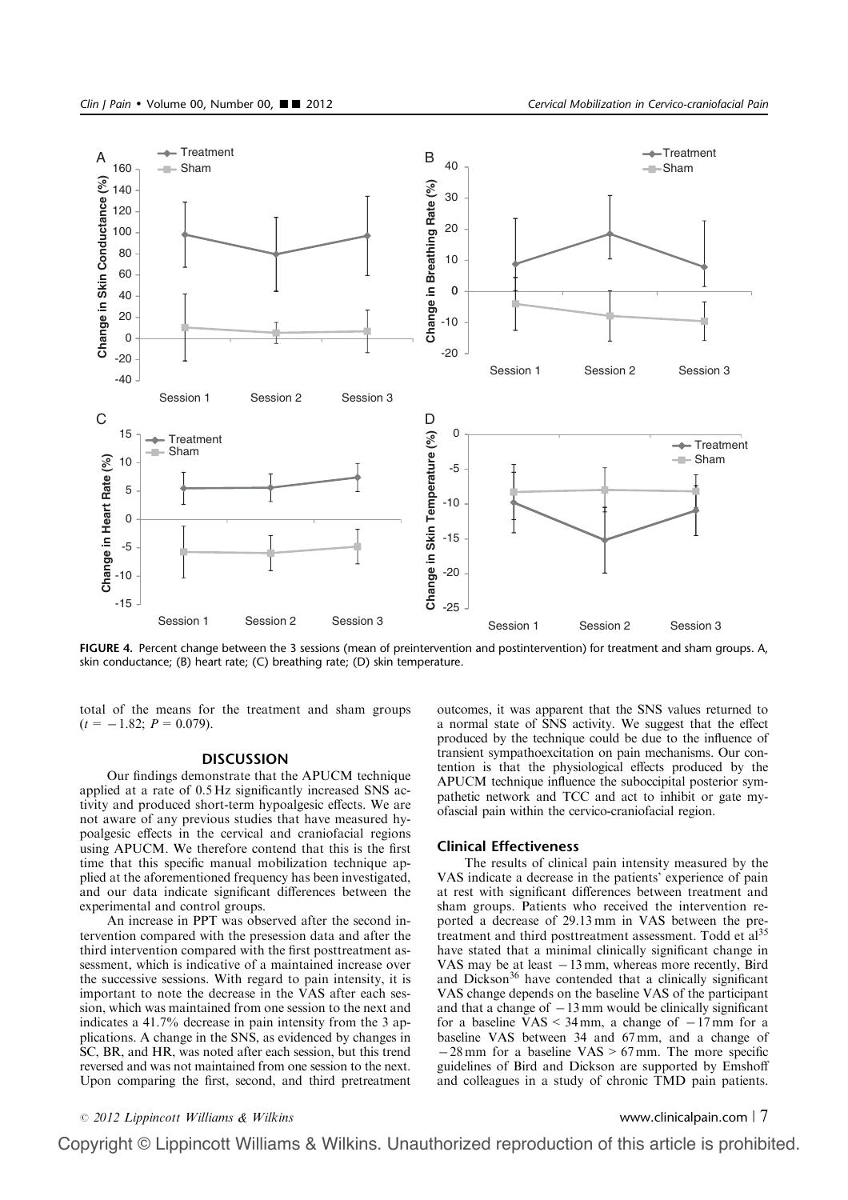

FIGURE 4. Percent change between the 3 sessions (mean of preintervention and postintervention) for treatment and sham groups. A, skin conductance; (B) heart rate; (C) breathing rate; (D) skin temperature.

total of the means for the treatment and sham groups  $(t = -1.82; P = 0.079).$ 

### **DISCUSSION**

Our findings demonstrate that the APUCM technique applied at a rate of 0.5 Hz significantly increased SNS activity and produced short-term hypoalgesic effects. We are not aware of any previous studies that have measured hypoalgesic effects in the cervical and craniofacial regions using APUCM. We therefore contend that this is the first time that this specific manual mobilization technique applied at the aforementioned frequency has been investigated, and our data indicate significant differences between the experimental and control groups.

An increase in PPT was observed after the second intervention compared with the presession data and after the third intervention compared with the first posttreatment assessment, which is indicative of a maintained increase over the successive sessions. With regard to pain intensity, it is important to note the decrease in the VAS after each session, which was maintained from one session to the next and indicates a 41.7% decrease in pain intensity from the 3 applications. A change in the SNS, as evidenced by changes in SC, BR, and HR, was noted after each session, but this trend reversed and was not maintained from one session to the next. Upon comparing the first, second, and third pretreatment outcomes, it was apparent that the SNS values returned to a normal state of SNS activity. We suggest that the effect produced by the technique could be due to the influence of transient sympathoexcitation on pain mechanisms. Our contention is that the physiological effects produced by the APUCM technique influence the suboccipital posterior sympathetic network and TCC and act to inhibit or gate myofascial pain within the cervico-craniofacial region.

# Clinical Effectiveness

The results of clinical pain intensity measured by the VAS indicate a decrease in the patients' experience of pain at rest with significant differences between treatment and sham groups. Patients who received the intervention reported a decrease of 29.13 mm in VAS between the pretreatment and third posttreatment assessment. Todd et al<sup>35</sup> have stated that a minimal clinically significant change in VAS may be at least  $-13$  mm, whereas more recently, Bird and Dickson<sup>36</sup> have contended that a clinically significant VAS change depends on the baseline VAS of the participant and that a change of  $-13$  mm would be clinically significant for a baseline  $VAS \leq 34 \text{ mm}$ , a change of  $-17 \text{ mm}$  for a baseline VAS between 34 and 67 mm, and a change of  $-28$  mm for a baseline VAS > 67 mm. The more specific guidelines of Bird and Dickson are supported by Emshoff and colleagues in a study of chronic TMD pain patients.

# <sup>r</sup> 2012 Lippincott Williams & Wilkins www.clinicalpain.com <sup>|</sup> 7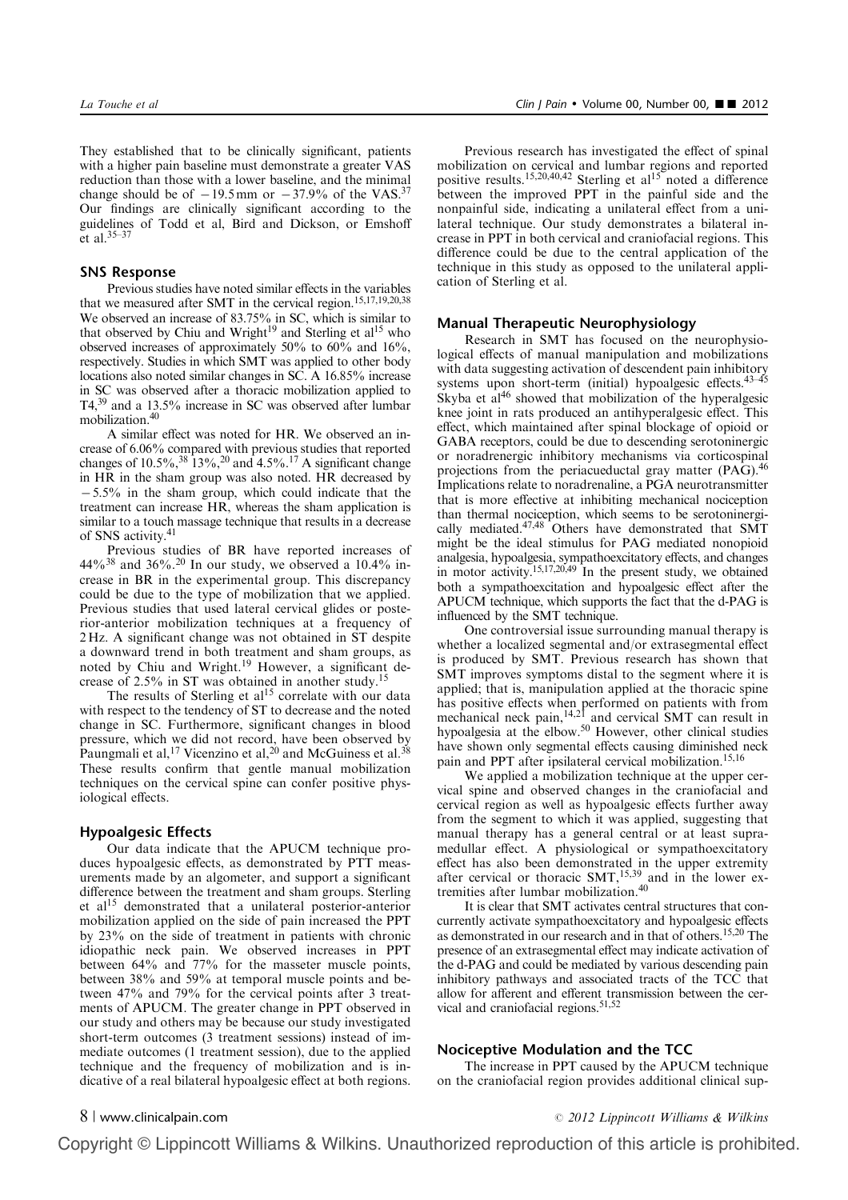They established that to be clinically significant, patients with a higher pain baseline must demonstrate a greater VAS reduction than those with a lower baseline, and the minimal change should be of  $-19.5$  mm or  $-37.9\%$  of the VAS.<sup>37</sup> Our findings are clinically significant according to the guidelines of Todd et al, Bird and Dickson, or Emshoff et al.35–37

# SNS Response

Previous studies have noted similar effects in the variables that we measured after SMT in the cervical region.<sup>15,17,19,20,38</sup> We observed an increase of 83.75% in SC, which is similar to that observed by Chiu and Wright<sup>19</sup> and Sterling et  $al<sup>15</sup>$  who observed increases of approximately 50% to 60% and 16%, respectively. Studies in which SMT was applied to other body locations also noted similar changes in SC. A 16.85% increase in SC was observed after a thoracic mobilization applied to T4,39 and a 13.5% increase in SC was observed after lumbar mobilization.40

A similar effect was noted for HR. We observed an increase of 6.06% compared with previous studies that reported changes of  $10.5\%,^{38} 13\%,^{20}$  and  $4.5\%$ .<sup>17</sup> A significant change in HR in the sham group was also noted. HR decreased by  $-5.5\%$  in the sham group, which could indicate that the treatment can increase HR, whereas the sham application is similar to a touch massage technique that results in a decrease of SNS activity.41

Previous studies of BR have reported increases of  $44\%^{38}$  and  $36\%^{20}$  In our study, we observed a 10.4% increase in BR in the experimental group. This discrepancy could be due to the type of mobilization that we applied. Previous studies that used lateral cervical glides or posterior-anterior mobilization techniques at a frequency of 2 Hz. A significant change was not obtained in ST despite a downward trend in both treatment and sham groups, as noted by Chiu and Wright.<sup>19</sup> However, a significant decrease of  $2.5\%$  in ST was obtained in another study.<sup>1</sup>

The results of Sterling et  $al^{15}$  correlate with our data with respect to the tendency of ST to decrease and the noted change in SC. Furthermore, significant changes in blood pressure, which we did not record, have been observed by Paungmali et al,<sup>17</sup> Vicenzino et al,<sup>20</sup> and McGuiness et al.<sup>38</sup> These results confirm that gentle manual mobilization techniques on the cervical spine can confer positive physiological effects.

# Hypoalgesic Effects

Our data indicate that the APUCM technique produces hypoalgesic effects, as demonstrated by PTT measurements made by an algometer, and support a significant difference between the treatment and sham groups. Sterling et  $al<sup>15</sup>$  demonstrated that a unilateral posterior-anterior mobilization applied on the side of pain increased the PPT by 23% on the side of treatment in patients with chronic idiopathic neck pain. We observed increases in PPT between 64% and 77% for the masseter muscle points, between 38% and 59% at temporal muscle points and between 47% and 79% for the cervical points after 3 treatments of APUCM. The greater change in PPT observed in our study and others may be because our study investigated short-term outcomes (3 treatment sessions) instead of immediate outcomes (1 treatment session), due to the applied technique and the frequency of mobilization and is indicative of a real bilateral hypoalgesic effect at both regions.

Previous research has investigated the effect of spinal mobilization on cervical and lumbar regions and reported positive results.<sup>15,20,40,42</sup> Sterling et al<sup>15</sup> noted a difference between the improved PPT in the painful side and the nonpainful side, indicating a unilateral effect from a unilateral technique. Our study demonstrates a bilateral increase in PPT in both cervical and craniofacial regions. This difference could be due to the central application of the technique in this study as opposed to the unilateral application of Sterling et al.

# Manual Therapeutic Neurophysiology

Research in SMT has focused on the neurophysiological effects of manual manipulation and mobilizations with data suggesting activation of descendent pain inhibitory systems upon short-term (initial) hypoalgesic effects.<sup>43–45</sup> Skyba et  $a^{146}$  showed that mobilization of the hyperalgesic knee joint in rats produced an antihyperalgesic effect. This effect, which maintained after spinal blockage of opioid or GABA receptors, could be due to descending serotoninergic or noradrenergic inhibitory mechanisms via corticospinal projections from the periacueductal gray matter (PAG).<sup>46</sup> Implications relate to noradrenaline, a PGA neurotransmitter that is more effective at inhibiting mechanical nociception than thermal nociception, which seems to be serotoninergically mediated.47,48 Others have demonstrated that SMT might be the ideal stimulus for PAG mediated nonopioid analgesia, hypoalgesia, sympathoexcitatory effects, and changes in motor activity.<sup>15,17,20,49</sup> In the present study, we obtained both a sympathoexcitation and hypoalgesic effect after the APUCM technique, which supports the fact that the d-PAG is influenced by the SMT technique.

One controversial issue surrounding manual therapy is whether a localized segmental and/or extrasegmental effect is produced by SMT. Previous research has shown that SMT improves symptoms distal to the segment where it is applied; that is, manipulation applied at the thoracic spine has positive effects when performed on patients with from mechanical neck pain, <sup>14,21</sup> and cervical SMT can result in hypoalgesia at the elbow.<sup>50</sup> However, other clinical studies have shown only segmental effects causing diminished neck pain and PPT after ipsilateral cervical mobilization.<sup>15,16</sup>

We applied a mobilization technique at the upper cervical spine and observed changes in the craniofacial and cervical region as well as hypoalgesic effects further away from the segment to which it was applied, suggesting that manual therapy has a general central or at least supramedullar effect. A physiological or sympathoexcitatory effect has also been demonstrated in the upper extremity after cervical or thoracic  $SMT$ ,<sup>15,39</sup> and in the lower extremities after lumbar mobilization.<sup>40</sup>

It is clear that SMT activates central structures that concurrently activate sympathoexcitatory and hypoalgesic effects as demonstrated in our research and in that of others.<sup>15,20</sup> The presence of an extrasegmental effect may indicate activation of the d-PAG and could be mediated by various descending pain inhibitory pathways and associated tracts of the TCC that allow for afferent and efferent transmission between the cervical and craniofacial regions.<sup>51,52</sup>

# Nociceptive Modulation and the TCC

The increase in PPT caused by the APUCM technique on the craniofacial region provides additional clinical sup-

8 <sup>|</sup> www.clinicalpain.com <sup>r</sup> 2012 Lippincott Williams & Wilkins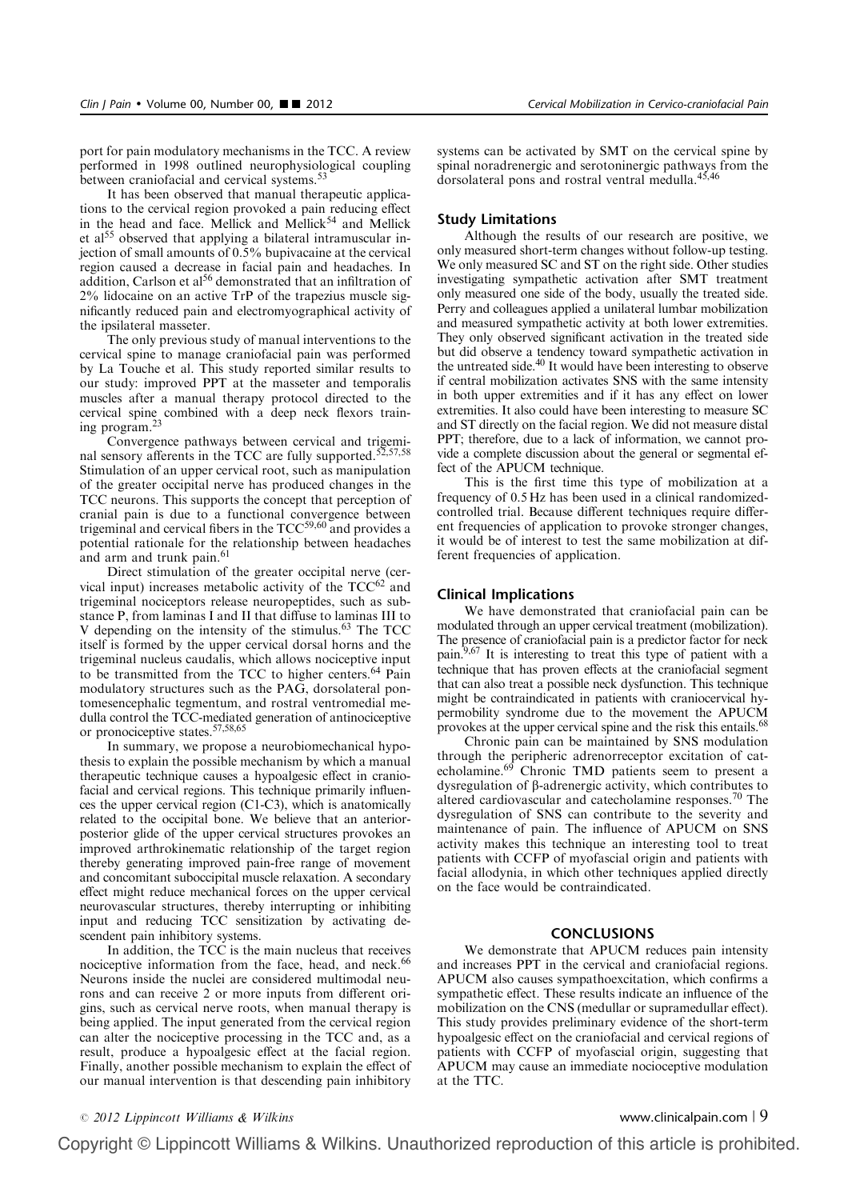port for pain modulatory mechanisms in the TCC. A review performed in 1998 outlined neurophysiological coupling between craniofacial and cervical systems.<sup>53</sup>

It has been observed that manual therapeutic applications to the cervical region provoked a pain reducing effect in the head and face. Mellick and Mellick<sup>54</sup> and Mellick et al<sup>55</sup> observed that applying a bilateral intramuscular injection of small amounts of 0.5% bupivacaine at the cervical region caused a decrease in facial pain and headaches. In addition, Carlson et al<sup>56</sup> demonstrated that an infiltration of 2% lidocaine on an active TrP of the trapezius muscle significantly reduced pain and electromyographical activity of the ipsilateral masseter.

The only previous study of manual interventions to the cervical spine to manage craniofacial pain was performed by La Touche et al. This study reported similar results to our study: improved PPT at the masseter and temporalis muscles after a manual therapy protocol directed to the cervical spine combined with a deep neck flexors training program.23

Convergence pathways between cervical and trigeminal sensory afferents in the TCC are fully supported.<sup>52,57,58</sup> Stimulation of an upper cervical root, such as manipulation of the greater occipital nerve has produced changes in the TCC neurons. This supports the concept that perception of cranial pain is due to a functional convergence between trigeminal and cervical fibers in the  $TCC<sup>59,60</sup>$  and provides a potential rationale for the relationship between headaches and arm and trunk pain.<sup>61</sup>

Direct stimulation of the greater occipital nerve (cervical input) increases metabolic activity of the  $TCC^{62}$  and trigeminal nociceptors release neuropeptides, such as substance P, from laminas I and II that diffuse to laminas III to V depending on the intensity of the stimulus.<sup>63</sup> The TCC itself is formed by the upper cervical dorsal horns and the trigeminal nucleus caudalis, which allows nociceptive input to be transmitted from the TCC to higher centers.<sup>64</sup> Pain modulatory structures such as the PAG, dorsolateral pontomesencephalic tegmentum, and rostral ventromedial medulla control the TCC-mediated generation of antinociceptive or pronociceptive states.57,58,65

In summary, we propose a neurobiomechanical hypothesis to explain the possible mechanism by which a manual therapeutic technique causes a hypoalgesic effect in craniofacial and cervical regions. This technique primarily influences the upper cervical region (C1-C3), which is anatomically related to the occipital bone. We believe that an anteriorposterior glide of the upper cervical structures provokes an improved arthrokinematic relationship of the target region thereby generating improved pain-free range of movement and concomitant suboccipital muscle relaxation. A secondary effect might reduce mechanical forces on the upper cervical neurovascular structures, thereby interrupting or inhibiting input and reducing TCC sensitization by activating descendent pain inhibitory systems.

In addition, the TCC is the main nucleus that receives nociceptive information from the face, head, and neck.<sup>66</sup> Neurons inside the nuclei are considered multimodal neurons and can receive 2 or more inputs from different origins, such as cervical nerve roots, when manual therapy is being applied. The input generated from the cervical region can alter the nociceptive processing in the TCC and, as a result, produce a hypoalgesic effect at the facial region. Finally, another possible mechanism to explain the effect of our manual intervention is that descending pain inhibitory

systems can be activated by SMT on the cervical spine by spinal noradrenergic and serotoninergic pathways from the dorsolateral pons and rostral ventral medulla.<sup>45,46</sup>

# Study Limitations

Although the results of our research are positive, we only measured short-term changes without follow-up testing. We only measured SC and ST on the right side. Other studies investigating sympathetic activation after SMT treatment only measured one side of the body, usually the treated side. Perry and colleagues applied a unilateral lumbar mobilization and measured sympathetic activity at both lower extremities. They only observed significant activation in the treated side but did observe a tendency toward sympathetic activation in the untreated side.40 It would have been interesting to observe if central mobilization activates SNS with the same intensity in both upper extremities and if it has any effect on lower extremities. It also could have been interesting to measure SC and ST directly on the facial region. We did not measure distal PPT; therefore, due to a lack of information, we cannot provide a complete discussion about the general or segmental effect of the APUCM technique.

This is the first time this type of mobilization at a frequency of 0.5 Hz has been used in a clinical randomizedcontrolled trial. Because different techniques require different frequencies of application to provoke stronger changes, it would be of interest to test the same mobilization at different frequencies of application.

# Clinical Implications

We have demonstrated that craniofacial pain can be modulated through an upper cervical treatment (mobilization). The presence of craniofacial pain is a predictor factor for neck pain.<sup>9,67</sup> It is interesting to treat this type of patient with a technique that has proven effects at the craniofacial segment that can also treat a possible neck dysfunction. This technique might be contraindicated in patients with craniocervical hypermobility syndrome due to the movement the APUCM provokes at the upper cervical spine and the risk this entails.<sup>68</sup>

Chronic pain can be maintained by SNS modulation through the peripheric adrenorreceptor excitation of catecholamine.<sup>69</sup> Chronic TMD patients seem to present a dysregulation of b-adrenergic activity, which contributes to altered cardiovascular and catecholamine responses.<sup>70</sup> The dysregulation of SNS can contribute to the severity and maintenance of pain. The influence of APUCM on SNS activity makes this technique an interesting tool to treat patients with CCFP of myofascial origin and patients with facial allodynia, in which other techniques applied directly on the face would be contraindicated.

# CONCLUSIONS

We demonstrate that APUCM reduces pain intensity and increases PPT in the cervical and craniofacial regions. APUCM also causes sympathoexcitation, which confirms a sympathetic effect. These results indicate an influence of the mobilization on the CNS (medullar or supramedullar effect). This study provides preliminary evidence of the short-term hypoalgesic effect on the craniofacial and cervical regions of patients with CCFP of myofascial origin, suggesting that APUCM may cause an immediate nocioceptive modulation at the TTC.

<sup>r</sup> 2012 Lippincott Williams & Wilkins www.clinicalpain.com <sup>|</sup> 9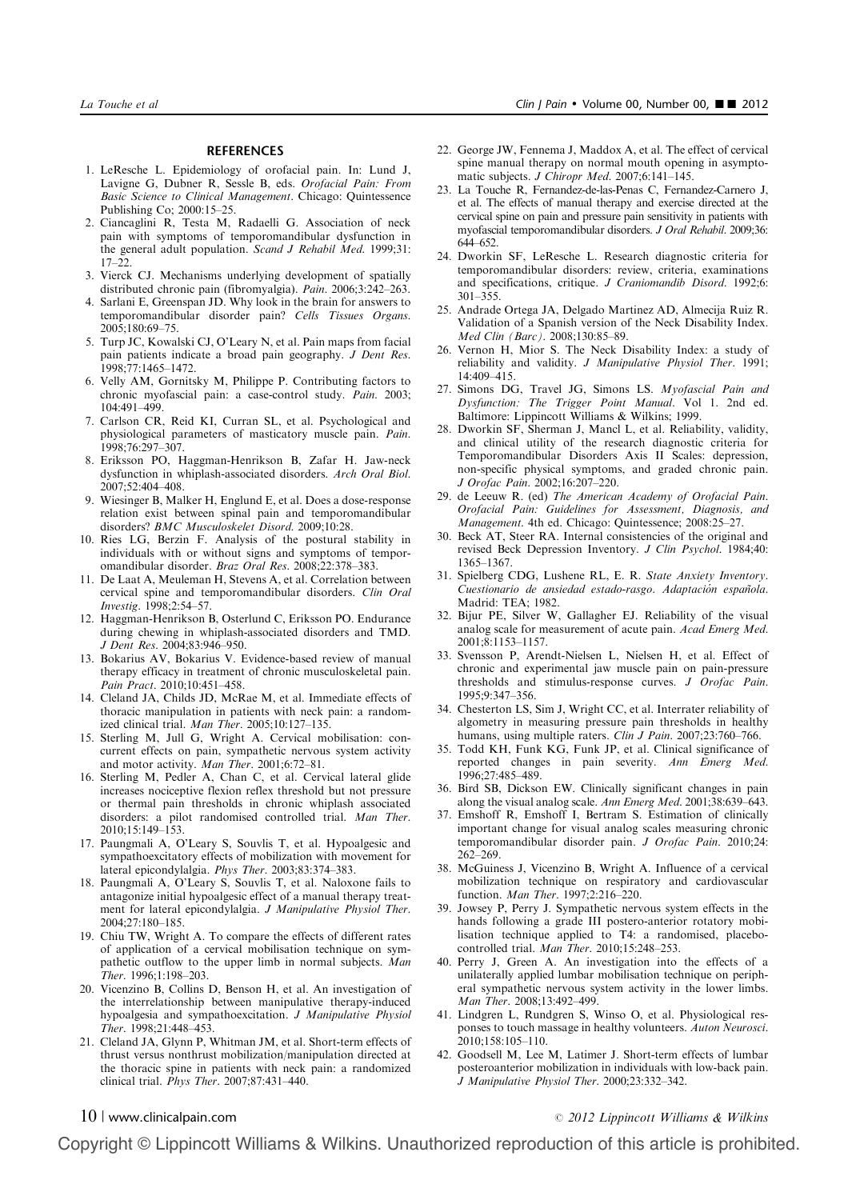#### **REFERENCES**

- 1. LeResche L. Epidemiology of orofacial pain. In: Lund J, Lavigne G, Dubner R, Sessle B, eds. Orofacial Pain: From Basic Science to Clinical Management. Chicago: Quintessence Publishing Co; 2000:15–25.
- 2. Ciancaglini R, Testa M, Radaelli G. Association of neck pain with symptoms of temporomandibular dysfunction in the general adult population. Scand J Rehabil Med. 1999;31: 17–22.
- 3. Vierck CJ. Mechanisms underlying development of spatially distributed chronic pain (fibromyalgia). Pain. 2006;3:242–263.
- 4. Sarlani E, Greenspan JD. Why look in the brain for answers to temporomandibular disorder pain? Cells Tissues Organs. 2005;180:69–75.
- 5. Turp JC, Kowalski CJ, O'Leary N, et al. Pain maps from facial pain patients indicate a broad pain geography. J Dent Res. 1998;77:1465–1472.
- 6. Velly AM, Gornitsky M, Philippe P. Contributing factors to chronic myofascial pain: a case-control study. Pain. 2003; 104:491–499.
- 7. Carlson CR, Reid KI, Curran SL, et al. Psychological and physiological parameters of masticatory muscle pain. Pain. 1998;76:297–307.
- 8. Eriksson PO, Haggman-Henrikson B, Zafar H. Jaw-neck dysfunction in whiplash-associated disorders. Arch Oral Biol. 2007;52:404–408.
- 9. Wiesinger B, Malker H, Englund E, et al. Does a dose-response relation exist between spinal pain and temporomandibular disorders? BMC Musculoskelet Disord. 2009;10:28.
- 10. Ries LG, Berzin F. Analysis of the postural stability in individuals with or without signs and symptoms of temporomandibular disorder. Braz Oral Res. 2008;22:378–383.
- 11. De Laat A, Meuleman H, Stevens A, et al. Correlation between cervical spine and temporomandibular disorders. Clin Oral Investig. 1998;2:54–57.
- 12. Haggman-Henrikson B, Osterlund C, Eriksson PO. Endurance during chewing in whiplash-associated disorders and TMD. J Dent Res. 2004;83:946–950.
- 13. Bokarius AV, Bokarius V. Evidence-based review of manual therapy efficacy in treatment of chronic musculoskeletal pain. Pain Pract. 2010;10:451–458.
- 14. Cleland JA, Childs JD, McRae M, et al. Immediate effects of thoracic manipulation in patients with neck pain: a randomized clinical trial. Man Ther. 2005;10:127–135.
- 15. Sterling M, Jull G, Wright A. Cervical mobilisation: concurrent effects on pain, sympathetic nervous system activity and motor activity. Man Ther. 2001;6:72–81.
- 16. Sterling M, Pedler A, Chan C, et al. Cervical lateral glide increases nociceptive flexion reflex threshold but not pressure or thermal pain thresholds in chronic whiplash associated disorders: a pilot randomised controlled trial. Man Ther. 2010;15:149–153.
- 17. Paungmali A, O'Leary S, Souvlis T, et al. Hypoalgesic and sympathoexcitatory effects of mobilization with movement for lateral epicondylalgia. Phys Ther. 2003;83:374–383.
- 18. Paungmali A, O'Leary S, Souvlis T, et al. Naloxone fails to antagonize initial hypoalgesic effect of a manual therapy treatment for lateral epicondylalgia. J Manipulative Physiol Ther. 2004;27:180–185.
- 19. Chiu TW, Wright A. To compare the effects of different rates of application of a cervical mobilisation technique on sympathetic outflow to the upper limb in normal subjects. Man Ther. 1996;1:198–203.
- 20. Vicenzino B, Collins D, Benson H, et al. An investigation of the interrelationship between manipulative therapy-induced hypoalgesia and sympathoexcitation. J Manipulative Physiol Ther. 1998;21:448–453.
- 21. Cleland JA, Glynn P, Whitman JM, et al. Short-term effects of thrust versus nonthrust mobilization/manipulation directed at the thoracic spine in patients with neck pain: a randomized clinical trial. Phys Ther. 2007;87:431–440.
- 22. George JW, Fennema J, Maddox A, et al. The effect of cervical spine manual therapy on normal mouth opening in asymptomatic subjects. J Chiropr Med. 2007;6:141–145.
- 23. La Touche R, Fernandez-de-las-Penas C, Fernandez-Carnero J, et al. The effects of manual therapy and exercise directed at the cervical spine on pain and pressure pain sensitivity in patients with myofascial temporomandibular disorders. J Oral Rehabil. 2009;36: 644–652.
- 24. Dworkin SF, LeResche L. Research diagnostic criteria for temporomandibular disorders: review, criteria, examinations and specifications, critique. J Craniomandib Disord. 1992;6: 301–355.
- 25. Andrade Ortega JA, Delgado Martinez AD, Almecija Ruiz R. Validation of a Spanish version of the Neck Disability Index. Med Clin (Barc). 2008;130:85–89.
- 26. Vernon H, Mior S. The Neck Disability Index: a study of reliability and validity. J Manipulative Physiol Ther. 1991; 14:409–415.
- 27. Simons DG, Travel JG, Simons LS. Myofascial Pain and Dysfunction: The Trigger Point Manual. Vol 1. 2nd ed. Baltimore: Lippincott Williams & Wilkins; 1999.
- 28. Dworkin SF, Sherman J, Mancl L, et al. Reliability, validity, and clinical utility of the research diagnostic criteria for Temporomandibular Disorders Axis II Scales: depression, non-specific physical symptoms, and graded chronic pain. J Orofac Pain. 2002;16:207–220.
- 29. de Leeuw R. (ed) The American Academy of Orofacial Pain. Orofacial Pain: Guidelines for Assessment, Diagnosis, and Management. 4th ed. Chicago: Quintessence; 2008:25–27.
- 30. Beck AT, Steer RA. Internal consistencies of the original and revised Beck Depression Inventory. J Clin Psychol. 1984;40: 1365–1367.
- 31. Spielberg CDG, Lushene RL, E. R. State Anxiety Inventory. Cuestionario de ansiedad estado-rasgo. Adaptación española. Madrid: TEA; 1982.
- 32. Bijur PE, Silver W, Gallagher EJ. Reliability of the visual analog scale for measurement of acute pain. Acad Emerg Med. 2001;8:1153–1157.
- 33. Svensson P, Arendt-Nielsen L, Nielsen H, et al. Effect of chronic and experimental jaw muscle pain on pain-pressure thresholds and stimulus-response curves. J Orofac Pain. 1995;9:347–356.
- 34. Chesterton LS, Sim J, Wright CC, et al. Interrater reliability of algometry in measuring pressure pain thresholds in healthy humans, using multiple raters. Clin J Pain. 2007;23:760-766.
- 35. Todd KH, Funk KG, Funk JP, et al. Clinical significance of reported changes in pain severity. Ann Emerg Med. 1996;27:485–489.
- 36. Bird SB, Dickson EW. Clinically significant changes in pain along the visual analog scale. Ann Emerg Med. 2001;38:639–643.
- 37. Emshoff R, Emshoff I, Bertram S. Estimation of clinically important change for visual analog scales measuring chronic temporomandibular disorder pain. J Orofac Pain. 2010;24: 262–269.
- 38. McGuiness J, Vicenzino B, Wright A. Influence of a cervical mobilization technique on respiratory and cardiovascular function. Man Ther. 1997;2:216–220.
- 39. Jowsey P, Perry J. Sympathetic nervous system effects in the hands following a grade III postero-anterior rotatory mobilisation technique applied to T4: a randomised, placebocontrolled trial. Man Ther. 2010;15:248-253.
- 40. Perry J, Green A. An investigation into the effects of a unilaterally applied lumbar mobilisation technique on peripheral sympathetic nervous system activity in the lower limbs. Man Ther. 2008;13:492–499.
- 41. Lindgren L, Rundgren S, Winso O, et al. Physiological responses to touch massage in healthy volunteers. Auton Neurosci. 2010;158:105–110.
- 42. Goodsell M, Lee M, Latimer J. Short-term effects of lumbar posteroanterior mobilization in individuals with low-back pain. J Manipulative Physiol Ther. 2000;23:332–342.

# $10$  | www.clinicalpain.com  $\degree$  2012 Lippincott Williams & Wilkins